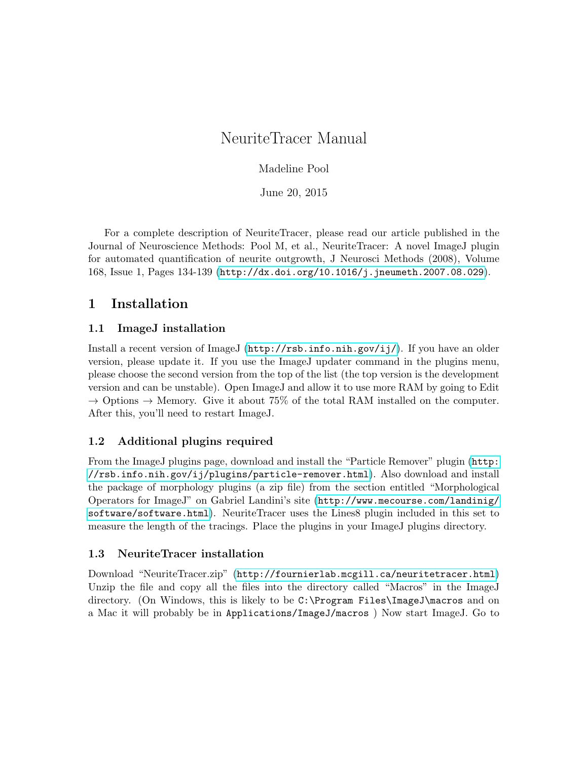# NeuriteTracer Manual

## Madeline Pool

June 20, 2015

For a complete description of NeuriteTracer, please read our article published in the Journal of Neuroscience Methods: Pool M, et al., NeuriteTracer: A novel ImageJ plugin for automated quantification of neurite outgrowth, J Neurosci Methods (2008), Volume 168, Issue 1, Pages 134-139 (<http://dx.doi.org/10.1016/j.jneumeth.2007.08.029>).

## 1 Installation

## 1.1 ImageJ installation

Install a recent version of ImageJ (<http://rsb.info.nih.gov/ij/>). If you have an older version, please update it. If you use the ImageJ updater command in the plugins menu, please choose the second version from the top of the list (the top version is the development version and can be unstable). Open ImageJ and allow it to use more RAM by going to Edit  $\rightarrow$  Options  $\rightarrow$  Memory. Give it about 75% of the total RAM installed on the computer. After this, you'll need to restart ImageJ.

## 1.2 Additional plugins required

From the ImageJ plugins page, download and install the "Particle Remover" plugin ([http:](http://rsb.info.nih.gov/ij/plugins/particle-remover.html) [//rsb.info.nih.gov/ij/plugins/particle-remover.html](http://rsb.info.nih.gov/ij/plugins/particle-remover.html)). Also download and install the package of morphology plugins (a zip file) from the section entitled "Morphological Operators for ImageJ" on Gabriel Landini's site ([http://www.mecourse.com/landinig/](http://www.mecourse.com/landinig/software/software.html) [software/software.html](http://www.mecourse.com/landinig/software/software.html)). NeuriteTracer uses the Lines8 plugin included in this set to measure the length of the tracings. Place the plugins in your ImageJ plugins directory.

## 1.3 NeuriteTracer installation

Download "NeuriteTracer.zip" (<http://fournierlab.mcgill.ca/neuritetracer.html>) Unzip the file and copy all the files into the directory called "Macros" in the ImageJ directory. (On Windows, this is likely to be C:\Program Files\ImageJ\macros and on a Mac it will probably be in Applications/ImageJ/macros ) Now start ImageJ. Go to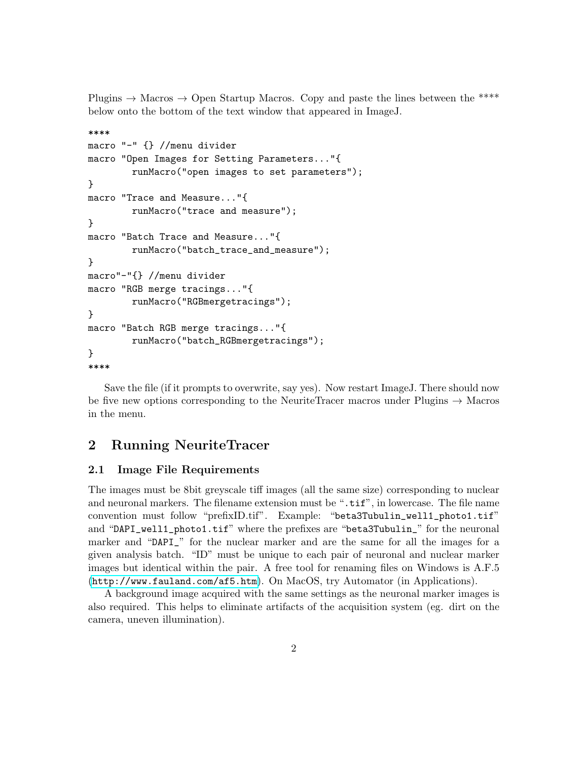Plugins  $\rightarrow$  Macros  $\rightarrow$  Open Startup Macros. Copy and paste the lines between the \*\*\*\* below onto the bottom of the text window that appeared in ImageJ.

```
****
macro "-" {} //menu divider
macro "Open Images for Setting Parameters..."{
        runMacro("open images to set parameters");
}
macro "Trace and Measure..."{
        runMacro("trace and measure");
}
macro "Batch Trace and Measure..."{
        runMacro("batch_trace_and_measure");
}
macro"-"{} //menu divider
macro "RGB merge tracings..."{
        runMacro("RGBmergetracings");
}
macro "Batch RGB merge tracings..."{
        runMacro("batch_RGBmergetracings");
}
****
```
Save the file (if it prompts to overwrite, say yes). Now restart ImageJ. There should now be five new options corresponding to the NeuriteTracer macros under Plugins  $\rightarrow$  Macros in the menu.

### 2 Running NeuriteTracer

#### 2.1 Image File Requirements

The images must be 8bit greyscale tiff images (all the same size) corresponding to nuclear and neuronal markers. The filename extension must be ".tif", in lowercase. The file name convention must follow "prefixID.tif". Example: "beta3Tubulin\_well1\_photo1.tif" and "DAPI\_well1\_photo1.tif" where the prefixes are "beta3Tubulin\_" for the neuronal marker and "DAPI\_" for the nuclear marker and are the same for all the images for a given analysis batch. "ID" must be unique to each pair of neuronal and nuclear marker images but identical within the pair. A free tool for renaming files on Windows is A.F.5 (<http://www.fauland.com/af5.htm>). On MacOS, try Automator (in Applications).

A background image acquired with the same settings as the neuronal marker images is also required. This helps to eliminate artifacts of the acquisition system (eg. dirt on the camera, uneven illumination).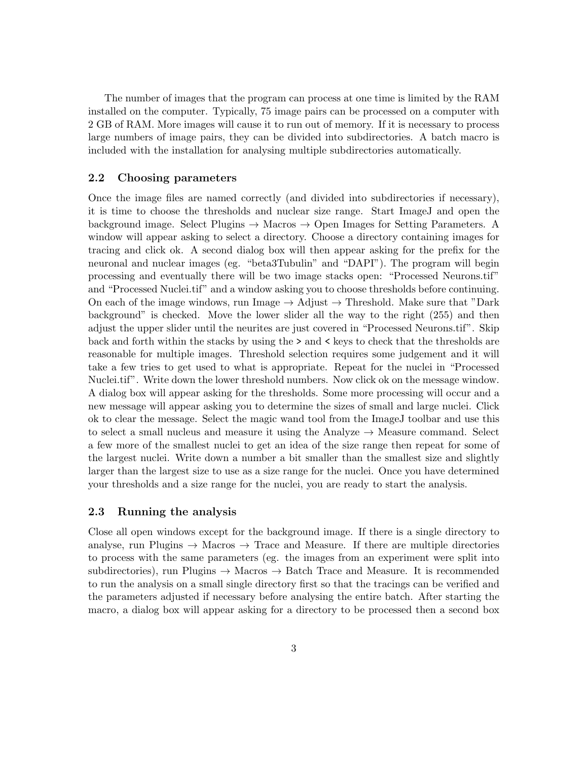The number of images that the program can process at one time is limited by the RAM installed on the computer. Typically, 75 image pairs can be processed on a computer with 2 GB of RAM. More images will cause it to run out of memory. If it is necessary to process large numbers of image pairs, they can be divided into subdirectories. A batch macro is included with the installation for analysing multiple subdirectories automatically.

#### 2.2 Choosing parameters

Once the image files are named correctly (and divided into subdirectories if necessary), it is time to choose the thresholds and nuclear size range. Start ImageJ and open the background image. Select Plugins  $\rightarrow$  Macros  $\rightarrow$  Open Images for Setting Parameters. A window will appear asking to select a directory. Choose a directory containing images for tracing and click ok. A second dialog box will then appear asking for the prefix for the neuronal and nuclear images (eg. "beta3Tubulin" and "DAPI"). The program will begin processing and eventually there will be two image stacks open: "Processed Neurons.tif" and "Processed Nuclei.tif" and a window asking you to choose thresholds before continuing. On each of the image windows, run Image  $\rightarrow$  Adjust  $\rightarrow$  Threshold. Make sure that "Dark" background" is checked. Move the lower slider all the way to the right (255) and then adjust the upper slider until the neurites are just covered in "Processed Neurons.tif". Skip back and forth within the stacks by using the > and < keys to check that the thresholds are reasonable for multiple images. Threshold selection requires some judgement and it will take a few tries to get used to what is appropriate. Repeat for the nuclei in "Processed Nuclei.tif". Write down the lower threshold numbers. Now click ok on the message window. A dialog box will appear asking for the thresholds. Some more processing will occur and a new message will appear asking you to determine the sizes of small and large nuclei. Click ok to clear the message. Select the magic wand tool from the ImageJ toolbar and use this to select a small nucleus and measure it using the Analyze  $\rightarrow$  Measure command. Select a few more of the smallest nuclei to get an idea of the size range then repeat for some of the largest nuclei. Write down a number a bit smaller than the smallest size and slightly larger than the largest size to use as a size range for the nuclei. Once you have determined your thresholds and a size range for the nuclei, you are ready to start the analysis.

#### 2.3 Running the analysis

Close all open windows except for the background image. If there is a single directory to analyse, run Plugins  $\rightarrow$  Macros  $\rightarrow$  Trace and Measure. If there are multiple directories to process with the same parameters (eg. the images from an experiment were split into subdirectories), run Plugins  $\rightarrow$  Macros  $\rightarrow$  Batch Trace and Measure. It is recommended to run the analysis on a small single directory first so that the tracings can be verified and the parameters adjusted if necessary before analysing the entire batch. After starting the macro, a dialog box will appear asking for a directory to be processed then a second box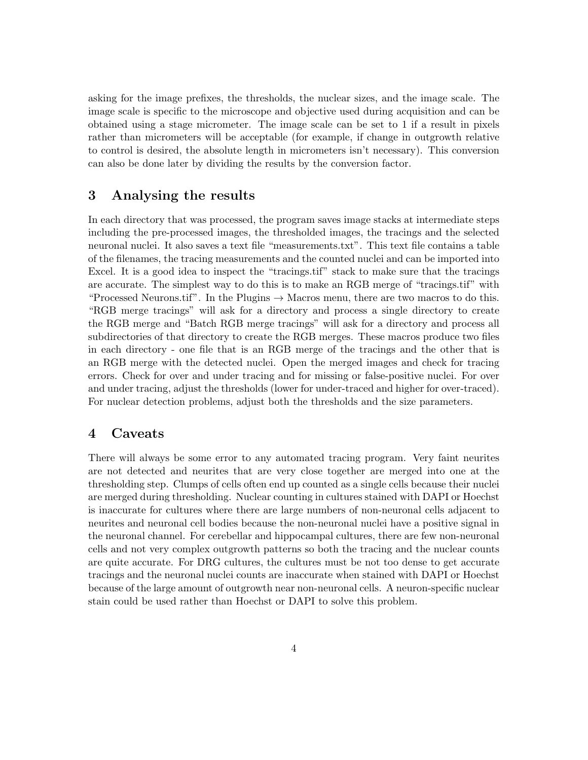asking for the image prefixes, the thresholds, the nuclear sizes, and the image scale. The image scale is specific to the microscope and objective used during acquisition and can be obtained using a stage micrometer. The image scale can be set to 1 if a result in pixels rather than micrometers will be acceptable (for example, if change in outgrowth relative to control is desired, the absolute length in micrometers isn't necessary). This conversion can also be done later by dividing the results by the conversion factor.

## 3 Analysing the results

In each directory that was processed, the program saves image stacks at intermediate steps including the pre-processed images, the thresholded images, the tracings and the selected neuronal nuclei. It also saves a text file "measurements.txt". This text file contains a table of the filenames, the tracing measurements and the counted nuclei and can be imported into Excel. It is a good idea to inspect the "tracings.tif" stack to make sure that the tracings are accurate. The simplest way to do this is to make an RGB merge of "tracings.tif" with "Processed Neurons.tif". In the Plugins  $\rightarrow$  Macros menu, there are two macros to do this. "RGB merge tracings" will ask for a directory and process a single directory to create the RGB merge and "Batch RGB merge tracings" will ask for a directory and process all subdirectories of that directory to create the RGB merges. These macros produce two files in each directory - one file that is an RGB merge of the tracings and the other that is an RGB merge with the detected nuclei. Open the merged images and check for tracing errors. Check for over and under tracing and for missing or false-positive nuclei. For over and under tracing, adjust the thresholds (lower for under-traced and higher for over-traced). For nuclear detection problems, adjust both the thresholds and the size parameters.

### 4 Caveats

There will always be some error to any automated tracing program. Very faint neurites are not detected and neurites that are very close together are merged into one at the thresholding step. Clumps of cells often end up counted as a single cells because their nuclei are merged during thresholding. Nuclear counting in cultures stained with DAPI or Hoechst is inaccurate for cultures where there are large numbers of non-neuronal cells adjacent to neurites and neuronal cell bodies because the non-neuronal nuclei have a positive signal in the neuronal channel. For cerebellar and hippocampal cultures, there are few non-neuronal cells and not very complex outgrowth patterns so both the tracing and the nuclear counts are quite accurate. For DRG cultures, the cultures must be not too dense to get accurate tracings and the neuronal nuclei counts are inaccurate when stained with DAPI or Hoechst because of the large amount of outgrowth near non-neuronal cells. A neuron-specific nuclear stain could be used rather than Hoechst or DAPI to solve this problem.